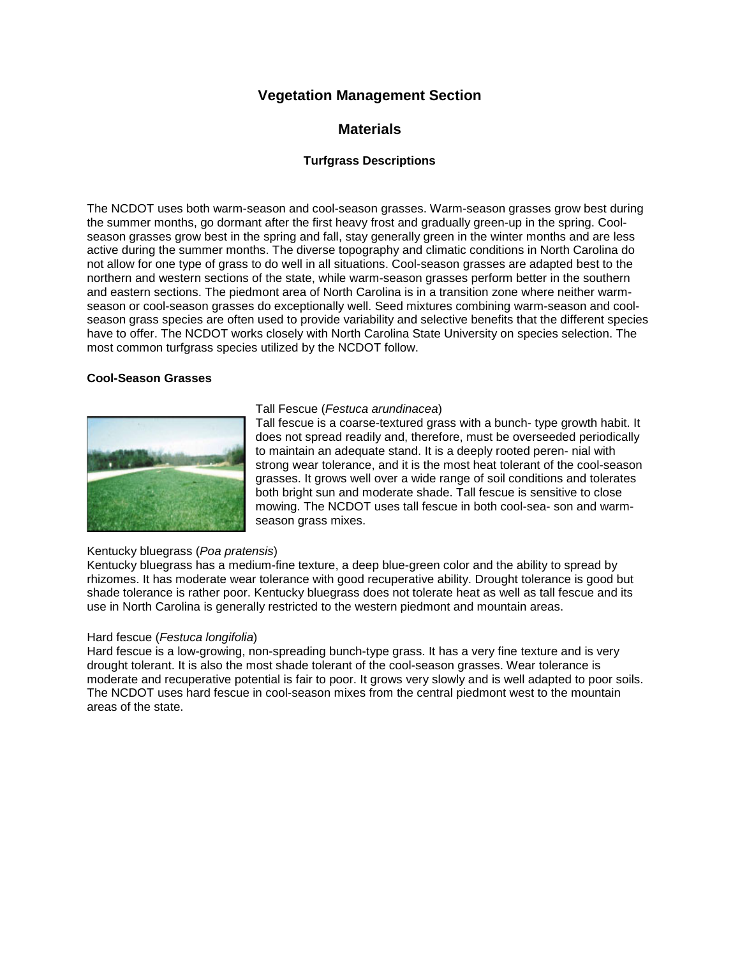# **Vegetation Management Section**

# **Materials**

# **Turfgrass Descriptions**

The NCDOT uses both warm-season and cool-season grasses. Warm-season grasses grow best during the summer months, go dormant after the first heavy frost and gradually green-up in the spring. Coolseason grasses grow best in the spring and fall, stay generally green in the winter months and are less active during the summer months. The diverse topography and climatic conditions in North Carolina do not allow for one type of grass to do well in all situations. Cool-season grasses are adapted best to the northern and western sections of the state, while warm-season grasses perform better in the southern and eastern sections. The piedmont area of North Carolina is in a transition zone where neither warmseason or cool-season grasses do exceptionally well. Seed mixtures combining warm-season and coolseason grass species are often used to provide variability and selective benefits that the different species have to offer. The NCDOT works closely with North Carolina State University on species selection. The most common turfgrass species utilized by the NCDOT follow.

### **Cool-Season Grasses**



# Tall Fescue (*Festuca arundinacea*)

Tall fescue is a coarse-textured grass with a bunch- type growth habit. It does not spread readily and, therefore, must be overseeded periodically to maintain an adequate stand. It is a deeply rooted peren- nial with strong wear tolerance, and it is the most heat tolerant of the cool-season grasses. It grows well over a wide range of soil conditions and tolerates both bright sun and moderate shade. Tall fescue is sensitive to close mowing. The NCDOT uses tall fescue in both cool-sea- son and warmseason grass mixes.

## Kentucky bluegrass (*Poa pratensis*)

Kentucky bluegrass has a medium-fine texture, a deep blue-green color and the ability to spread by rhizomes. It has moderate wear tolerance with good recuperative ability. Drought tolerance is good but shade tolerance is rather poor. Kentucky bluegrass does not tolerate heat as well as tall fescue and its use in North Carolina is generally restricted to the western piedmont and mountain areas.

## Hard fescue (*Festuca longifolia*)

Hard fescue is a low-growing, non-spreading bunch-type grass. It has a very fine texture and is very drought tolerant. It is also the most shade tolerant of the cool-season grasses. Wear tolerance is moderate and recuperative potential is fair to poor. It grows very slowly and is well adapted to poor soils. The NCDOT uses hard fescue in cool-season mixes from the central piedmont west to the mountain areas of the state.